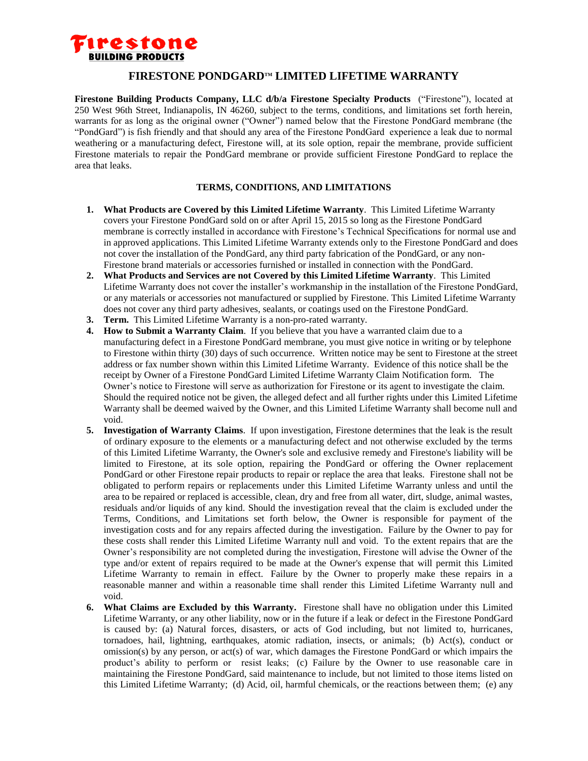

## **FIRESTONE PONDGARDTM LIMITED LIFETIME WARRANTY**

**Firestone Building Products Company, LLC d/b/a Firestone Specialty Products** ("Firestone"), located at 250 West 96th Street, Indianapolis, IN 46260, subject to the terms, conditions, and limitations set forth herein, warrants for as long as the original owner ("Owner") named below that the Firestone PondGard membrane (the "PondGard") is fish friendly and that should any area of the Firestone PondGard experience a leak due to normal weathering or a manufacturing defect, Firestone will, at its sole option, repair the membrane, provide sufficient Firestone materials to repair the PondGard membrane or provide sufficient Firestone PondGard to replace the area that leaks.

## **TERMS, CONDITIONS, AND LIMITATIONS**

- **1. What Products are Covered by this Limited Lifetime Warranty**. This Limited Lifetime Warranty covers your Firestone PondGard sold on or after April 15, 2015 so long as the Firestone PondGard membrane is correctly installed in accordance with Firestone's Technical Specifications for normal use and in approved applications. This Limited Lifetime Warranty extends only to the Firestone PondGard and does not cover the installation of the PondGard, any third party fabrication of the PondGard, or any non-Firestone brand materials or accessories furnished or installed in connection with the PondGard.
- **2. What Products and Services are not Covered by this Limited Lifetime Warranty**. This Limited Lifetime Warranty does not cover the installer's workmanship in the installation of the Firestone PondGard, or any materials or accessories not manufactured or supplied by Firestone. This Limited Lifetime Warranty does not cover any third party adhesives, sealants, or coatings used on the Firestone PondGard.
- **3. Term.** This Limited Lifetime Warranty is a non-pro-rated warranty.
- **4. How to Submit a Warranty Claim**. If you believe that you have a warranted claim due to a manufacturing defect in a Firestone PondGard membrane, you must give notice in writing or by telephone to Firestone within thirty (30) days of such occurrence. Written notice may be sent to Firestone at the street address or fax number shown within this Limited Lifetime Warranty. Evidence of this notice shall be the receipt by Owner of a Firestone PondGard Limited Lifetime Warranty Claim Notification form. The Owner's notice to Firestone will serve as authorization for Firestone or its agent to investigate the claim. Should the required notice not be given, the alleged defect and all further rights under this Limited Lifetime Warranty shall be deemed waived by the Owner, and this Limited Lifetime Warranty shall become null and void.
- **5. Investigation of Warranty Claims**. If upon investigation, Firestone determines that the leak is the result of ordinary exposure to the elements or a manufacturing defect and not otherwise excluded by the terms of this Limited Lifetime Warranty, the Owner's sole and exclusive remedy and Firestone's liability will be limited to Firestone, at its sole option, repairing the PondGard or offering the Owner replacement PondGard or other Firestone repair products to repair or replace the area that leaks. Firestone shall not be obligated to perform repairs or replacements under this Limited Lifetime Warranty unless and until the area to be repaired or replaced is accessible, clean, dry and free from all water, dirt, sludge, animal wastes, residuals and/or liquids of any kind. Should the investigation reveal that the claim is excluded under the Terms, Conditions, and Limitations set forth below, the Owner is responsible for payment of the investigation costs and for any repairs affected during the investigation. Failure by the Owner to pay for these costs shall render this Limited Lifetime Warranty null and void. To the extent repairs that are the Owner's responsibility are not completed during the investigation, Firestone will advise the Owner of the type and/or extent of repairs required to be made at the Owner's expense that will permit this Limited Lifetime Warranty to remain in effect. Failure by the Owner to properly make these repairs in a reasonable manner and within a reasonable time shall render this Limited Lifetime Warranty null and void.
- **6. What Claims are Excluded by this Warranty.** Firestone shall have no obligation under this Limited Lifetime Warranty, or any other liability, now or in the future if a leak or defect in the Firestone PondGard is caused by: (a) Natural forces, disasters, or acts of God including, but not limited to, hurricanes, tornadoes, hail, lightning, earthquakes, atomic radiation, insects, or animals; (b) Act(s), conduct or omission(s) by any person, or act(s) of war, which damages the Firestone PondGard or which impairs the product's ability to perform or resist leaks; (c) Failure by the Owner to use reasonable care in maintaining the Firestone PondGard, said maintenance to include, but not limited to those items listed on this Limited Lifetime Warranty; (d) Acid, oil, harmful chemicals, or the reactions between them; (e) any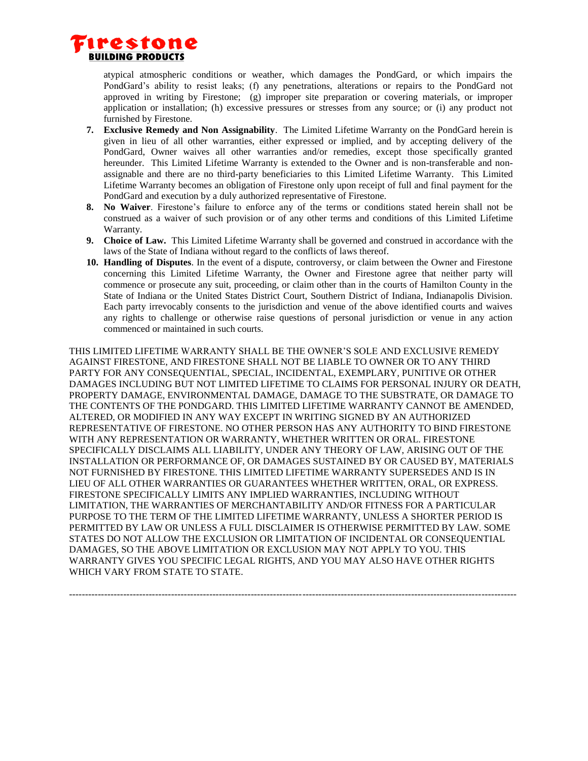

atypical atmospheric conditions or weather, which damages the PondGard, or which impairs the PondGard's ability to resist leaks; (f) any penetrations, alterations or repairs to the PondGard not approved in writing by Firestone; (g) improper site preparation or covering materials, or improper application or installation; (h) excessive pressures or stresses from any source; or (i) any product not furnished by Firestone.

- **7. Exclusive Remedy and Non Assignability**. The Limited Lifetime Warranty on the PondGard herein is given in lieu of all other warranties, either expressed or implied, and by accepting delivery of the PondGard, Owner waives all other warranties and/or remedies, except those specifically granted hereunder. This Limited Lifetime Warranty is extended to the Owner and is non-transferable and nonassignable and there are no third-party beneficiaries to this Limited Lifetime Warranty. This Limited Lifetime Warranty becomes an obligation of Firestone only upon receipt of full and final payment for the PondGard and execution by a duly authorized representative of Firestone.
- **8. No Waiver**. Firestone's failure to enforce any of the terms or conditions stated herein shall not be construed as a waiver of such provision or of any other terms and conditions of this Limited Lifetime Warranty.
- **9. Choice of Law.** This Limited Lifetime Warranty shall be governed and construed in accordance with the laws of the State of Indiana without regard to the conflicts of laws thereof.
- **10. Handling of Disputes**. In the event of a dispute, controversy, or claim between the Owner and Firestone concerning this Limited Lifetime Warranty, the Owner and Firestone agree that neither party will commence or prosecute any suit, proceeding, or claim other than in the courts of Hamilton County in the State of Indiana or the United States District Court, Southern District of Indiana, Indianapolis Division. Each party irrevocably consents to the jurisdiction and venue of the above identified courts and waives any rights to challenge or otherwise raise questions of personal jurisdiction or venue in any action commenced or maintained in such courts.

THIS LIMITED LIFETIME WARRANTY SHALL BE THE OWNER'S SOLE AND EXCLUSIVE REMEDY AGAINST FIRESTONE, AND FIRESTONE SHALL NOT BE LIABLE TO OWNER OR TO ANY THIRD PARTY FOR ANY CONSEQUENTIAL, SPECIAL, INCIDENTAL, EXEMPLARY, PUNITIVE OR OTHER DAMAGES INCLUDING BUT NOT LIMITED LIFETIME TO CLAIMS FOR PERSONAL INJURY OR DEATH, PROPERTY DAMAGE, ENVIRONMENTAL DAMAGE, DAMAGE TO THE SUBSTRATE, OR DAMAGE TO THE CONTENTS OF THE PONDGARD. THIS LIMITED LIFETIME WARRANTY CANNOT BE AMENDED, ALTERED, OR MODIFIED IN ANY WAY EXCEPT IN WRITING SIGNED BY AN AUTHORIZED REPRESENTATIVE OF FIRESTONE. NO OTHER PERSON HAS ANY AUTHORITY TO BIND FIRESTONE WITH ANY REPRESENTATION OR WARRANTY, WHETHER WRITTEN OR ORAL. FIRESTONE SPECIFICALLY DISCLAIMS ALL LIABILITY, UNDER ANY THEORY OF LAW, ARISING OUT OF THE INSTALLATION OR PERFORMANCE OF, OR DAMAGES SUSTAINED BY OR CAUSED BY, MATERIALS NOT FURNISHED BY FIRESTONE. THIS LIMITED LIFETIME WARRANTY SUPERSEDES AND IS IN LIEU OF ALL OTHER WARRANTIES OR GUARANTEES WHETHER WRITTEN, ORAL, OR EXPRESS. FIRESTONE SPECIFICALLY LIMITS ANY IMPLIED WARRANTIES, INCLUDING WITHOUT LIMITATION, THE WARRANTIES OF MERCHANTABILITY AND/OR FITNESS FOR A PARTICULAR PURPOSE TO THE TERM OF THE LIMITED LIFETIME WARRANTY, UNLESS A SHORTER PERIOD IS PERMITTED BY LAW OR UNLESS A FULL DISCLAIMER IS OTHERWISE PERMITTED BY LAW. SOME STATES DO NOT ALLOW THE EXCLUSION OR LIMITATION OF INCIDENTAL OR CONSEQUENTIAL DAMAGES, SO THE ABOVE LIMITATION OR EXCLUSION MAY NOT APPLY TO YOU. THIS WARRANTY GIVES YOU SPECIFIC LEGAL RIGHTS, AND YOU MAY ALSO HAVE OTHER RIGHTS WHICH VARY FROM STATE TO STATE.

--------------------------------------------------------------------------------------------------------------------------------------------